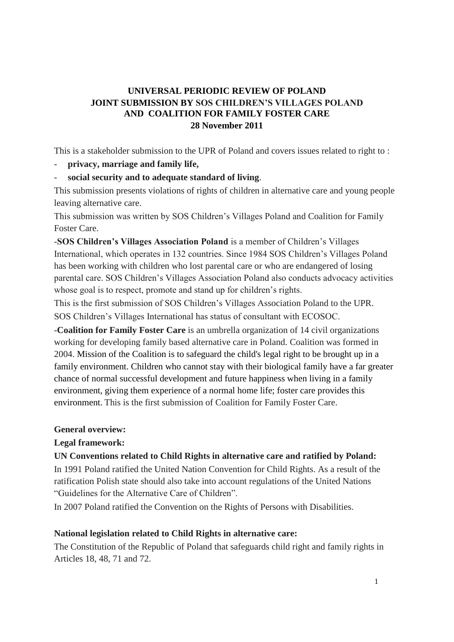# **UNIVERSAL PERIODIC REVIEW OF POLAND JOINT SUBMISSION BY SOS CHILDREN'S VILLAGES POLAND AND COALITION FOR FAMILY FOSTER CARE 28 November 2011**

This is a stakeholder submission to the UPR of Poland and covers issues related to right to :

- **privacy, marriage and family life,**

- **social security and to adequate standard of living**.

This submission presents violations of rights of children in alternative care and young people leaving alternative care.

This submission was written by SOS Children's Villages Poland and Coalition for Family Foster Care.

-**SOS Children's Villages Association Poland** is a member of Children's Villages International, which operates in 132 countries. Since 1984 SOS Children's Villages Poland has been working with children who lost parental care or who are endangered of losing parental care. SOS Children's Villages Association Poland also conducts advocacy activities whose goal is to respect, promote and stand up for children's rights.

This is the first submission of SOS Children's Villages Association Poland to the UPR. SOS Children's Villages International has status of consultant with ECOSOC.

-**Coalition for Family Foster Care** is an umbrella organization of 14 civil organizations working for developing family based alternative care in Poland. Coalition was formed in 2004. Mission of the Coalition is to safeguard the child's legal right to be brought up in a family environment. Children who cannot stay with their biological family have a far greater chance of normal successful development and future happiness when living in a family environment, giving them experience of a normal home life; foster care provides this environment. This is the first submission of Coalition for Family Foster Care.

### **General overview:**

### **Legal framework:**

### **UN Conventions related to Child Rights in alternative care and ratified by Poland:**

In 1991 Poland ratified the United Nation Convention for Child Rights. As a result of the ratification Polish state should also take into account regulations of the United Nations "Guidelines for the Alternative Care of Children".

In 2007 Poland ratified the Convention on the Rights of Persons with Disabilities.

### **National legislation related to Child Rights in alternative care:**

The Constitution of the Republic of Poland that safeguards child right and family rights in Articles 18, 48, 71 and 72.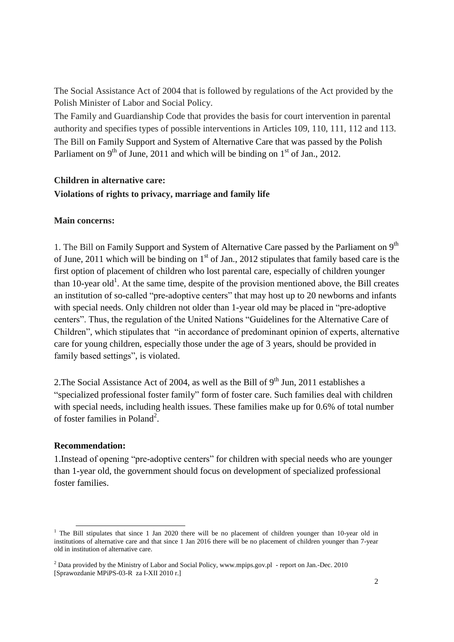The Social Assistance Act of 2004 that is followed by regulations of the Act provided by the Polish Minister of Labor and Social Policy.

The Family and Guardianship Code that provides the basis for court intervention in parental authority and specifies types of possible interventions in Articles 109, 110, 111, 112 and 113. The Bill on Family Support and System of Alternative Care that was passed by the Polish Parliament on 9<sup>th</sup> of June, 2011 and which will be binding on  $1<sup>st</sup>$  of Jan., 2012.

# **Children in alternative care: Violations of rights to privacy, marriage and family life**

### **Main concerns:**

1. The Bill on Family Support and System of Alternative Care passed by the Parliament on 9<sup>th</sup> of June, 2011 which will be binding on  $1<sup>st</sup>$  of Jan., 2012 stipulates that family based care is the first option of placement of children who lost parental care, especially of children younger than 10-year old<sup>1</sup>. At the same time, despite of the provision mentioned above, the Bill creates an institution of so-called "pre-adoptive centers" that may host up to 20 newborns and infants with special needs. Only children not older than 1-year old may be placed in "pre-adoptive centers". Thus, the regulation of the United Nations "Guidelines for the Alternative Care of Children", which stipulates that "in accordance of predominant opinion of experts, alternative care for young children, especially those under the age of 3 years, should be provided in family based settings", is violated.

2. The Social Assistance Act of 2004, as well as the Bill of  $9<sup>th</sup>$  Jun, 2011 establishes a "specialized professional foster family" form of foster care. Such families deal with children with special needs, including health issues. These families make up for 0.6% of total number of foster families in Poland<sup>2</sup>.

### **Recommendation:**

1.Instead of opening "pre-adoptive centers" for children with special needs who are younger than 1-year old, the government should focus on development of specialized professional foster families.

l <sup>1</sup> The Bill stipulates that since 1 Jan 2020 there will be no placement of children younger than 10-year old in institutions of alternative care and that since 1 Jan 2016 there will be no placement of children younger than 7-year old in institution of alternative care.

<sup>2</sup> Data provided by the Ministry of Labor and Social Policy, www.mpips.gov.pl - report on Jan.-Dec. 2010 [Sprawozdanie MPiPS-03-R za I-XII 2010 r.]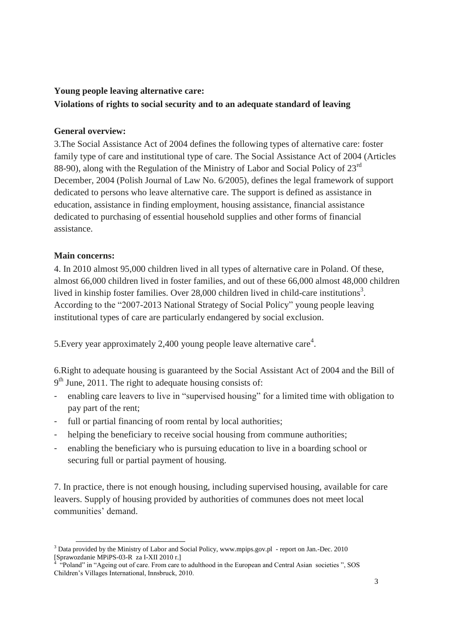#### **Young people leaving alternative care:**

## **Violations of rights to social security and to an adequate standard of leaving**

#### **General overview:**

3.The Social Assistance Act of 2004 defines the following types of alternative care: foster family type of care and institutional type of care. The Social Assistance Act of 2004 (Articles 88-90), along with the Regulation of the Ministry of Labor and Social Policy of 23<sup>rd</sup> December, 2004 (Polish Journal of Law No. 6/2005), defines the legal framework of support dedicated to persons who leave alternative care. The support is defined as assistance in education, assistance in finding employment, housing assistance, financial assistance dedicated to purchasing of essential household supplies and other forms of financial assistance.

#### **Main concerns:**

4. In 2010 almost 95,000 children lived in all types of alternative care in Poland. Of these, almost 66,000 children lived in foster families, and out of these 66,000 almost 48,000 children lived in kinship foster families. Over 28,000 children lived in child-care institutions<sup>3</sup>. According to the "2007-2013 National Strategy of Social Policy" young people leaving institutional types of care are particularly endangered by social exclusion.

5. Every year approximately 2,400 young people leave alternative care<sup>4</sup>.

6.Right to adequate housing is guaranteed by the Social Assistant Act of 2004 and the Bill of 9<sup>th</sup> June, 2011. The right to adequate housing consists of:

- enabling care leavers to live in "supervised housing" for a limited time with obligation to pay part of the rent;
- full or partial financing of room rental by local authorities;
- helping the beneficiary to receive social housing from commune authorities;
- enabling the beneficiary who is pursuing education to live in a boarding school or securing full or partial payment of housing.

7. In practice, there is not enough housing, including supervised housing, available for care leavers. Supply of housing provided by authorities of communes does not meet local communities' demand.

l <sup>3</sup> Data provided by the Ministry of Labor and Social Policy, www.mpips.gov.pl - report on Jan.-Dec. 2010 [Sprawozdanie MPiPS-03-R za I-XII 2010 r.] 4

 <sup>&</sup>quot;Poland" in "Ageing out of care. From care to adulthood in the European and Central Asian societies ", SOS Children's Villages International, Innsbruck, 2010.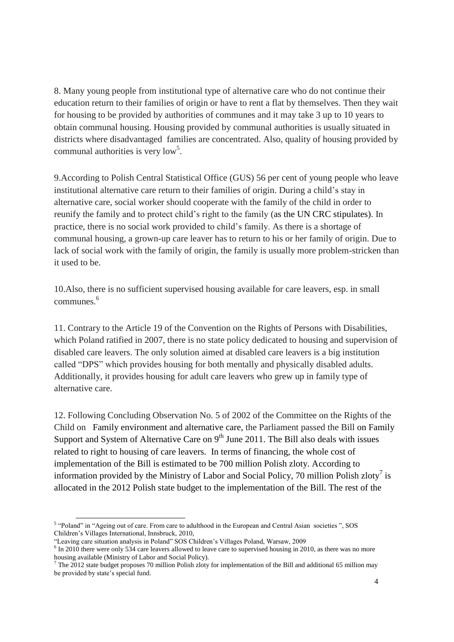8. Many young people from institutional type of alternative care who do not continue their education return to their families of origin or have to rent a flat by themselves. Then they wait for housing to be provided by authorities of communes and it may take 3 up to 10 years to obtain communal housing. Housing provided by communal authorities is usually situated in districts where disadvantaged families are concentrated. Also, quality of housing provided by communal authorities is very  $\text{low}^5$ .

9.According to Polish Central Statistical Office (GUS) 56 per cent of young people who leave institutional alternative care return to their families of origin. During a child's stay in alternative care, social worker should cooperate with the family of the child in order to reunify the family and to protect child's right to the family (as the UN CRC stipulates). In practice, there is no social work provided to child's family. As there is a shortage of communal housing, a grown-up care leaver has to return to his or her family of origin. Due to lack of social work with the family of origin, the family is usually more problem-stricken than it used to be.

10.Also, there is no sufficient supervised housing available for care leavers, esp. in small communes.<sup>6</sup>

11. Contrary to the Article 19 of the Convention on the Rights of Persons with Disabilities, which Poland ratified in 2007, there is no state policy dedicated to housing and supervision of disabled care leavers. The only solution aimed at disabled care leavers is a big institution called "DPS" which provides housing for both mentally and physically disabled adults. Additionally, it provides housing for adult care leavers who grew up in family type of alternative care.

12. Following Concluding Observation No. 5 of 2002 of the Committee on the Rights of the Child on Family environment and alternative care, the Parliament passed the Bill on Family Support and System of Alternative Care on  $9<sup>th</sup>$  June 2011. The Bill also deals with issues related to right to housing of care leavers. In terms of financing, the whole cost of implementation of the Bill is estimated to be 700 million Polish zloty. According to information provided by the Ministry of Labor and Social Policy, 70 million Polish zloty<sup>7</sup> is allocated in the 2012 Polish state budget to the implementation of the Bill. The rest of the

l

<sup>&</sup>lt;sup>5</sup> "Poland" in "Ageing out of care. From care to adulthood in the European and Central Asian societies ", SOS Children's Villages International, Innsbruck, 2010,

<sup>&</sup>quot;Leaving care situation analysis in Poland" SOS Children's Villages Poland, Warsaw, 2009

<sup>&</sup>lt;sup>6</sup> In 2010 there were only 534 care leavers allowed to leave care to supervised housing in 2010, as there was no more housing available (Ministry of Labor and Social Policy).

 $^7$  The 2012 state budget proposes 70 million Polish zloty for implementation of the Bill and additional 65 million may be provided by state's special fund.